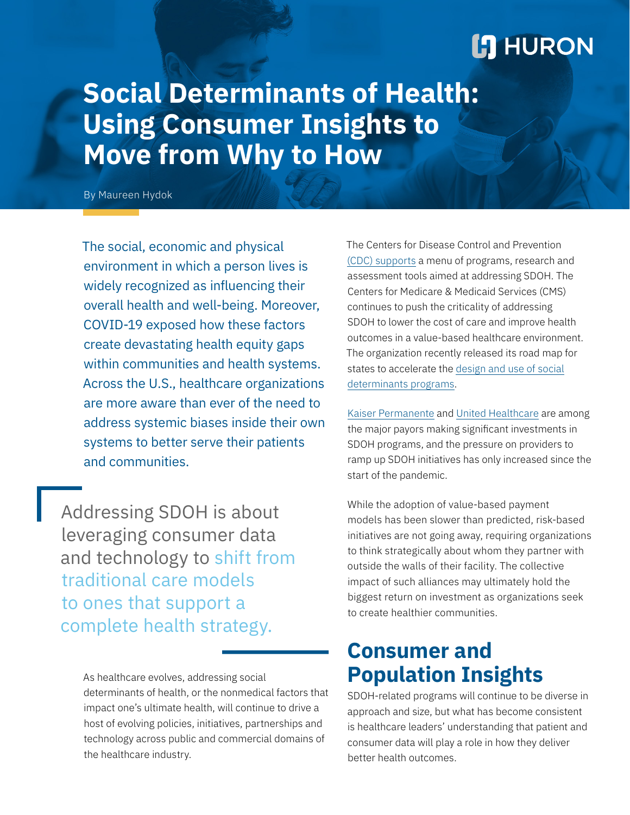## **L'I HURON**

# **Social Determinants of Health: Using Consumer Insights to Move from Why to How**

By Maureen Hydok

The social, economic and physical environment in which a person lives is widely recognized as influencing their overall health and well-being. Moreover, COVID-19 exposed how these factors create devastating health equity gaps within communities and health systems. Across the U.S., healthcare organizations are more aware than ever of the need to address systemic biases inside their own systems to better serve their patients and communities.

Addressing SDOH is about leveraging consumer data and technology to shift from traditional care models to ones that support a complete health strategy.

> As healthcare evolves, addressing social determinants of health, or the nonmedical factors that impact one's ultimate health, will continue to drive a host of evolving policies, initiatives, partnerships and technology across public and commercial domains of the healthcare industry.

The Centers for Disease Control and Prevention [\(CDC\) supports](https://www.cdc.gov/socialdeterminants/index.htm) a menu of programs, research and assessment tools aimed at addressing SDOH. The Centers for Medicare & Medicaid Services (CMS) continues to push the criticality of addressing SDOH to lower the cost of care and improve health outcomes in a value-based healthcare environment. The organization recently released its road map for states to accelerate the [design and use of social](https://www.cms.gov/newsroom/press-releases/cms-issues-new-roadmap-states-address-social-determinants-health-improve-outcomes-lower-costs) [determinants programs.](https://www.cms.gov/newsroom/press-releases/cms-issues-new-roadmap-states-address-social-determinants-health-improve-outcomes-lower-costs)

[Kaiser Permanente](https://healthitanalytics.com/news/kaiser-permanente-launches-full-network-social-determinants-program) and [United Healthcare](https://www.uhc.com/about-us/empowering-health) are among the major payors making significant investments in SDOH programs, and the pressure on providers to ramp up SDOH initiatives has only increased since the start of the pandemic.

While the adoption of value-based payment models has been slower than predicted, risk-based initiatives are not going away, requiring organizations to think strategically about whom they partner with outside the walls of their facility. The collective impact of such alliances may ultimately hold the biggest return on investment as organizations seek to create healthier communities.

### **Consumer and Population Insights**

SDOH-related programs will continue to be diverse in approach and size, but what has become consistent is healthcare leaders' understanding that patient and consumer data will play a role in how they deliver better health outcomes.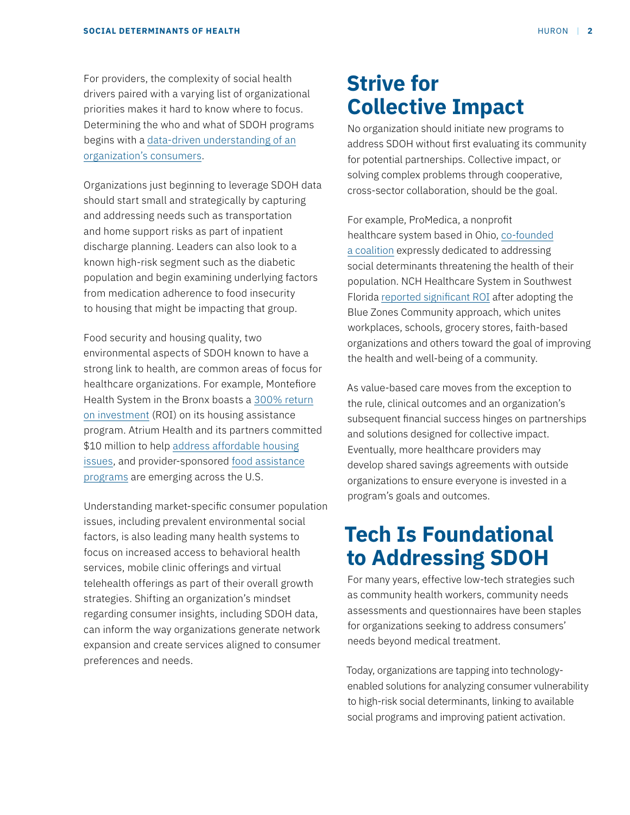For providers, the complexity of social health drivers paired with a varying list of organizational priorities makes it hard to know where to focus. Determining the who and what of SDOH programs begins with a [data-driven understanding of an](https://www.huronconsultinggroup.com/insights/healthcare-consumer-market-report) [organization's consumers](https://www.huronconsultinggroup.com/insights/healthcare-consumer-market-report).

Organizations just beginning to leverage SDOH data should start small and strategically by capturing and addressing needs such as transportation and home support risks as part of inpatient discharge planning. Leaders can also look to a known high-risk segment such as the diabetic population and begin examining underlying factors from medication adherence to food insecurity to housing that might be impacting that group.

Food security and housing quality, two environmental aspects of SDOH known to have a strong link to health, are common areas of focus for healthcare organizations. For example, Montefiore Health System in the Bronx boasts a [300% return](https://www.healthcarefinancenews.com/news/what-montefiores-300-roi-social-determinants-investments-means-future-other-hospitals) [on investment](https://www.healthcarefinancenews.com/news/what-montefiores-300-roi-social-determinants-investments-means-future-other-hospitals) (ROI) on its housing assistance program. Atrium Health and its partners committed \$10 million to help [address affordable housing](https://atriumhealth.org/community/health/socialeconfactors/housing) [issues,](https://atriumhealth.org/community/health/socialeconfactors/housing) and provider-sponsored [food assistance](https://www.aha.org/ahahret-guides/2017-06-21-social-determinants-health-series-food-insecurity-and-role-hospitals) [programs](https://www.aha.org/ahahret-guides/2017-06-21-social-determinants-health-series-food-insecurity-and-role-hospitals) are emerging across the U.S.

Understanding market-specific consumer population issues, including prevalent environmental social factors, is also leading many health systems to focus on increased access to behavioral health services, mobile clinic offerings and virtual telehealth offerings as part of their overall growth strategies. Shifting an organization's mindset regarding consumer insights, including SDOH data, can inform the way organizations generate network expansion and create services aligned to consumer preferences and needs.

### **Strive for Collective Impact**

No organization should initiate new programs to address SDOH without first evaluating its community for potential partnerships. Collective impact, or solving complex problems through cooperative, cross-sector collaboration, should be the goal.

For example, ProMedica, a nonprofit healthcare system based in Ohio, [co-founded](http://www.rootcausecoalition.org/members/) [a coalition](http://www.rootcausecoalition.org/members/) expressly dedicated to addressing social determinants threatening the health of their population. NCH Healthcare System in Southwest Florida [reported significant ROI](https://www.aha.org/news/insights-and-analysis/2018-09-04-how-nch-healthcare-system-building-healthier-communities) after adopting the Blue Zones Community approach, which unites workplaces, schools, grocery stores, faith-based organizations and others toward the goal of improving the health and well-being of a community.

As value-based care moves from the exception to the rule, clinical outcomes and an organization's subsequent financial success hinges on partnerships and solutions designed for collective impact. Eventually, more healthcare providers may develop shared savings agreements with outside organizations to ensure everyone is invested in a program's goals and outcomes.

### **Tech Is Foundational to Addressing SDOH**

For many years, effective low-tech strategies such as community health workers, community needs assessments and questionnaires have been staples for organizations seeking to address consumers' needs beyond medical treatment.

Today, organizations are tapping into technologyenabled solutions for analyzing consumer vulnerability to high-risk social determinants, linking to available social programs and improving patient activation.